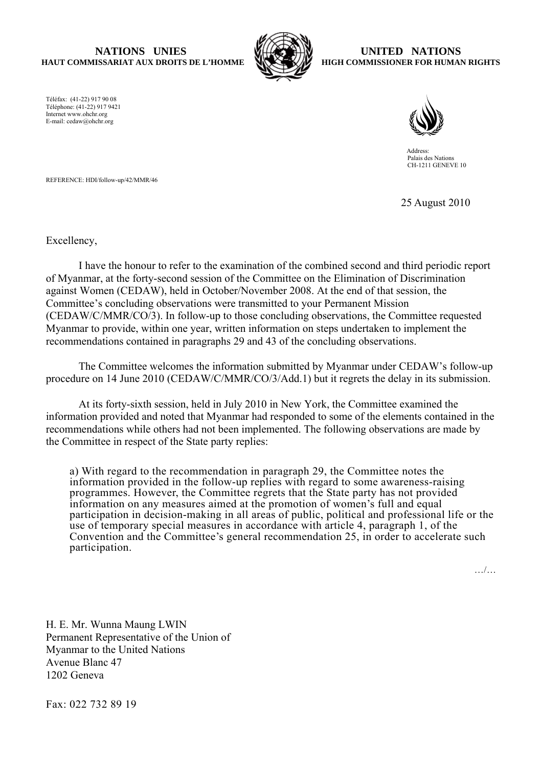## **NATIONS UNIES HAUT COMMISSARIAT AUX DROITS DE L'HOMME**



## **UNITED NATIONS HIGH COMMISSIONER FOR HUMAN RIGHTS**

Téléfax: (41-22) 917 90 08 Téléphone: (41-22) 917 9421 Internet www.ohchr.org E-mail: cedaw@ohchr.org



 Address: Palais des Nations CH-1211 GENEVE 10

REFERENCE: HDI/follow-up/42/MMR/46

25 August 2010

Excellency,

 I have the honour to refer to the examination of the combined second and third periodic report of Myanmar, at the forty-second session of the Committee on the Elimination of Discrimination against Women (CEDAW), held in October/November 2008. At the end of that session, the Committee's concluding observations were transmitted to your Permanent Mission (CEDAW/C/MMR/CO/3). In follow-up to those concluding observations, the Committee requested Myanmar to provide, within one year, written information on steps undertaken to implement the recommendations contained in paragraphs 29 and 43 of the concluding observations.

 The Committee welcomes the information submitted by Myanmar under CEDAW's follow-up procedure on 14 June 2010 (CEDAW/C/MMR/CO/3/Add.1) but it regrets the delay in its submission.

 At its forty-sixth session, held in July 2010 in New York, the Committee examined the information provided and noted that Myanmar had responded to some of the elements contained in the recommendations while others had not been implemented. The following observations are made by the Committee in respect of the State party replies:

 a) With regard to the recommendation in paragraph 29, the Committee notes the information provided in the follow-up replies with regard to some awareness-raising programmes. However, the Committee regrets that the State party has not provided information on any measures aimed at the promotion of women's full and equal participation in decision-making in all areas of public, political and professional life or the use of temporary special measures in accordance with article 4, paragraph 1, of the Convention and the Committee's general recommendation 25, in order to accelerate such participation.

…/…

H. E. Mr. Wunna Maung LWIN Permanent Representative of the Union of Myanmar to the United Nations Avenue Blanc 47 1202 Geneva

Fax: 022 732 89 19